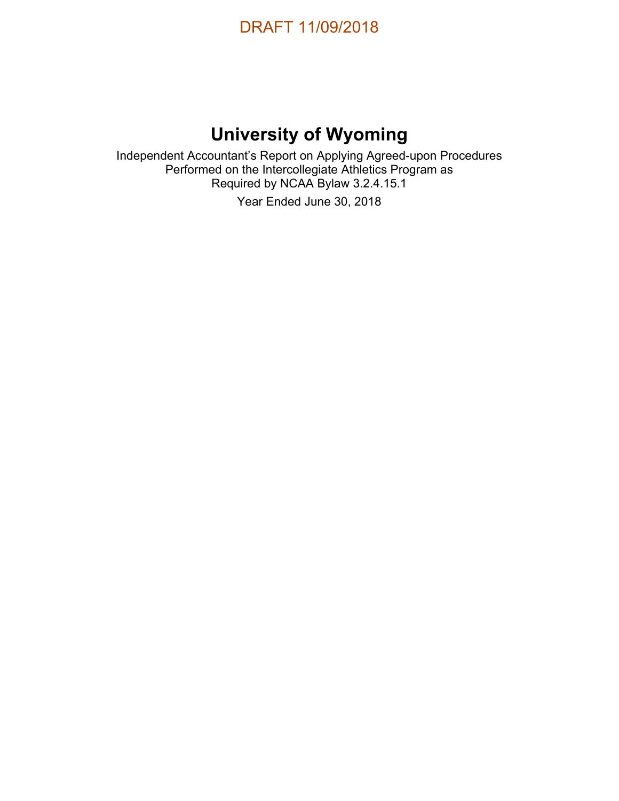

# **University of Wyoming**

Independent Accountant's Report on Applying Agreed-upon Procedures Performed on the Intercollegiate Athletics Program as Required by NCAA Bylaw 3.2.4.15.1 Year Ended June 30, 2018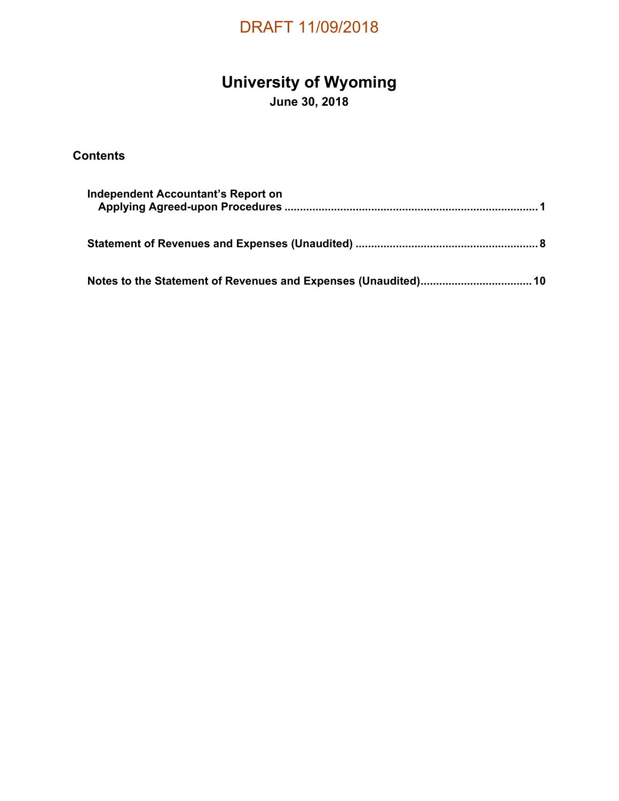### **University of Wyoming**

**June 30, 2018** 

### **Contents**

| Independent Accountant's Report on |  |
|------------------------------------|--|
|                                    |  |
|                                    |  |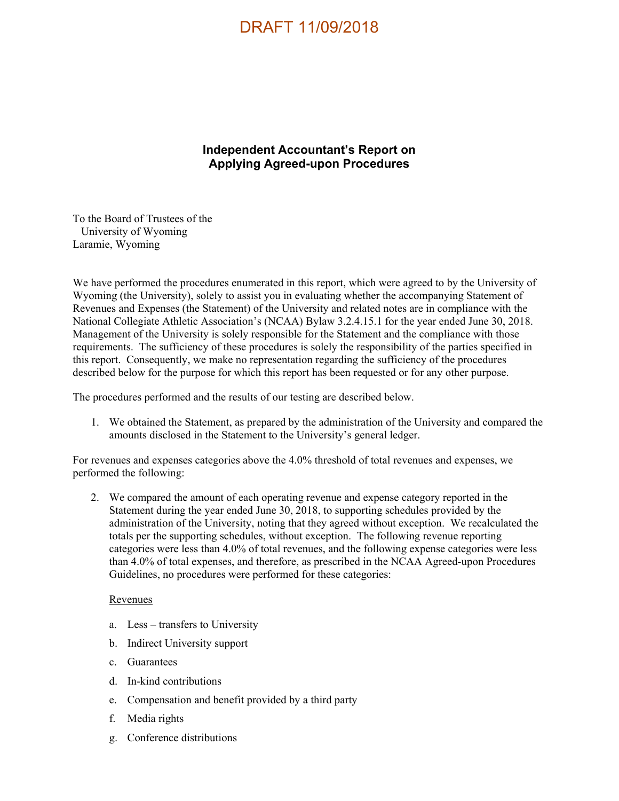### **Independent Accountant's Report on Applying Agreed-upon Procedures**

To the Board of Trustees of the University of Wyoming Laramie, Wyoming

We have performed the procedures enumerated in this report, which were agreed to by the University of Wyoming (the University), solely to assist you in evaluating whether the accompanying Statement of Revenues and Expenses (the Statement) of the University and related notes are in compliance with the National Collegiate Athletic Association's (NCAA) Bylaw 3.2.4.15.1 for the year ended June 30, 2018. Management of the University is solely responsible for the Statement and the compliance with those requirements. The sufficiency of these procedures is solely the responsibility of the parties specified in this report. Consequently, we make no representation regarding the sufficiency of the procedures described below for the purpose for which this report has been requested or for any other purpose.

The procedures performed and the results of our testing are described below.

1. We obtained the Statement, as prepared by the administration of the University and compared the amounts disclosed in the Statement to the University's general ledger.

For revenues and expenses categories above the 4.0% threshold of total revenues and expenses, we performed the following:

2. We compared the amount of each operating revenue and expense category reported in the Statement during the year ended June 30, 2018, to supporting schedules provided by the administration of the University, noting that they agreed without exception. We recalculated the totals per the supporting schedules, without exception. The following revenue reporting categories were less than 4.0% of total revenues, and the following expense categories were less than 4.0% of total expenses, and therefore, as prescribed in the NCAA Agreed-upon Procedures Guidelines, no procedures were performed for these categories:

#### Revenues

- a. Less transfers to University
- b. Indirect University support
- c. Guarantees
- d. In-kind contributions
- e. Compensation and benefit provided by a third party
- f. Media rights
- g. Conference distributions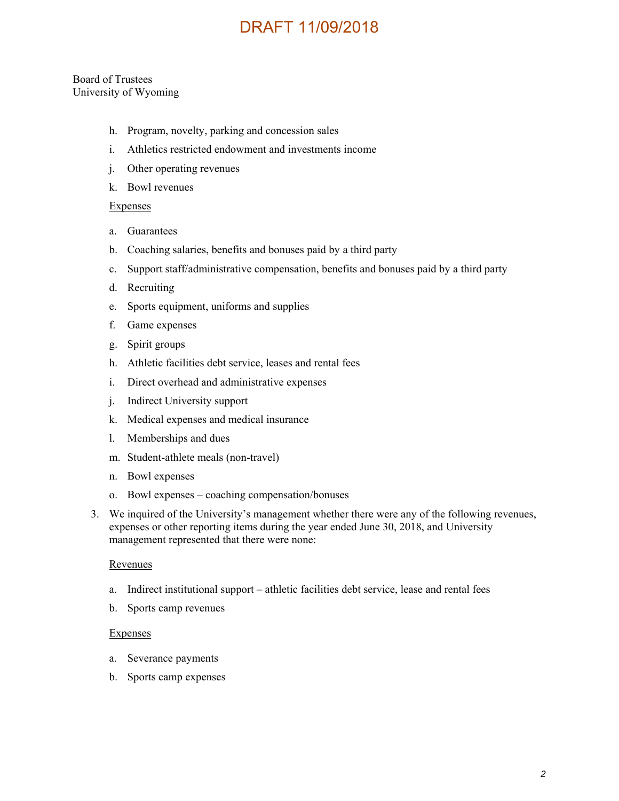#### Board of Trustees University of Wyoming

- h. Program, novelty, parking and concession sales
- i. Athletics restricted endowment and investments income
- j. Other operating revenues
- k. Bowl revenues

#### Expenses

- a. Guarantees
- b. Coaching salaries, benefits and bonuses paid by a third party
- c. Support staff/administrative compensation, benefits and bonuses paid by a third party
- d. Recruiting
- e. Sports equipment, uniforms and supplies
- f. Game expenses
- g. Spirit groups
- h. Athletic facilities debt service, leases and rental fees
- i. Direct overhead and administrative expenses
- j. Indirect University support
- k. Medical expenses and medical insurance
- l. Memberships and dues
- m. Student-athlete meals (non-travel)
- n. Bowl expenses
- o. Bowl expenses coaching compensation/bonuses
- 3. We inquired of the University's management whether there were any of the following revenues, expenses or other reporting items during the year ended June 30, 2018, and University management represented that there were none:

#### Revenues

- a. Indirect institutional support athletic facilities debt service, lease and rental fees
- b. Sports camp revenues

#### Expenses

- a. Severance payments
- b. Sports camp expenses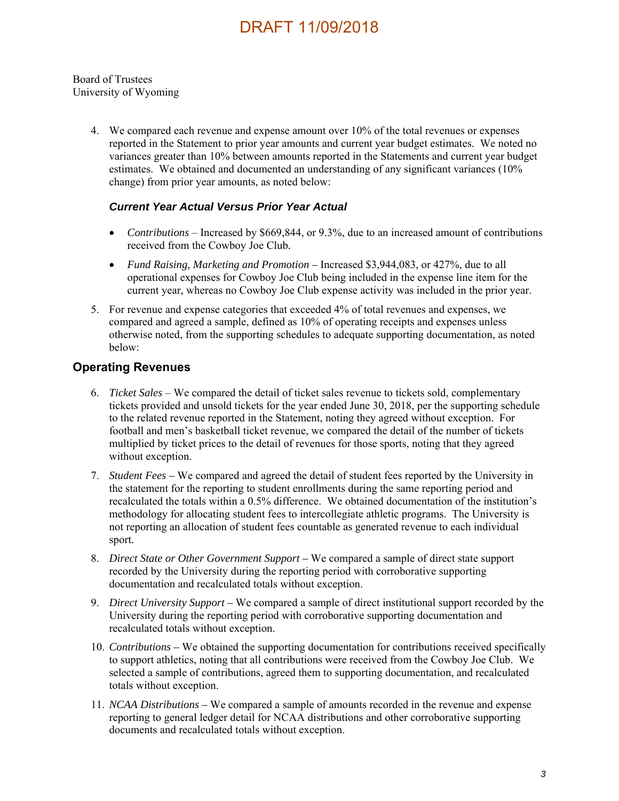#### Board of Trustees University of Wyoming

4. We compared each revenue and expense amount over 10% of the total revenues or expenses reported in the Statement to prior year amounts and current year budget estimates. We noted no variances greater than 10% between amounts reported in the Statements and current year budget estimates. We obtained and documented an understanding of any significant variances (10% change) from prior year amounts, as noted below:

#### *Current Year Actual Versus Prior Year Actual*

- *Contributions*  Increased by \$669,844, or 9.3%, due to an increased amount of contributions received from the Cowboy Joe Club*.*
- *Fund Raising, Marketing and Promotion* Increased \$3,944,083, or 427%, due to all operational expenses for Cowboy Joe Club being included in the expense line item for the current year, whereas no Cowboy Joe Club expense activity was included in the prior year.
- 5. For revenue and expense categories that exceeded 4% of total revenues and expenses, we compared and agreed a sample, defined as 10% of operating receipts and expenses unless otherwise noted, from the supporting schedules to adequate supporting documentation, as noted below:

#### **Operating Revenues**

- 6. *Ticket Sales*  We compared the detail of ticket sales revenue to tickets sold, complementary tickets provided and unsold tickets for the year ended June 30, 2018, per the supporting schedule to the related revenue reported in the Statement, noting they agreed without exception. For football and men's basketball ticket revenue, we compared the detail of the number of tickets multiplied by ticket prices to the detail of revenues for those sports, noting that they agreed without exception.
- 7. *Student Fees* We compared and agreed the detail of student fees reported by the University in the statement for the reporting to student enrollments during the same reporting period and recalculated the totals within a 0.5% difference. We obtained documentation of the institution's methodology for allocating student fees to intercollegiate athletic programs. The University is not reporting an allocation of student fees countable as generated revenue to each individual sport.
- 8. *Direct State or Other Government Support* We compared a sample of direct state support recorded by the University during the reporting period with corroborative supporting documentation and recalculated totals without exception.
- 9. *Direct University Support* We compared a sample of direct institutional support recorded by the University during the reporting period with corroborative supporting documentation and recalculated totals without exception.
- 10. *Contributions –* We obtained the supporting documentation for contributions received specifically to support athletics, noting that all contributions were received from the Cowboy Joe Club. We selected a sample of contributions, agreed them to supporting documentation, and recalculated totals without exception.
- 11. *NCAA Distributions* We compared a sample of amounts recorded in the revenue and expense reporting to general ledger detail for NCAA distributions and other corroborative supporting documents and recalculated totals without exception.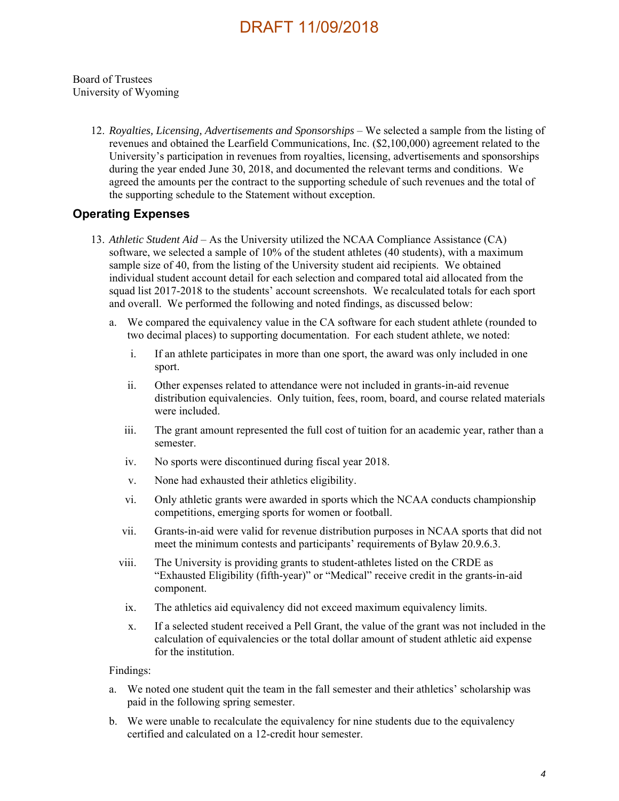#### Board of Trustees University of Wyoming

12. *Royalties, Licensing, Advertisements and Sponsorships* – We selected a sample from the listing of revenues and obtained the Learfield Communications, Inc. (\$2,100,000) agreement related to the University's participation in revenues from royalties, licensing, advertisements and sponsorships during the year ended June 30, 2018, and documented the relevant terms and conditions. We agreed the amounts per the contract to the supporting schedule of such revenues and the total of the supporting schedule to the Statement without exception.

### **Operating Expenses**

- 13. *Athletic Student Aid* As the University utilized the NCAA Compliance Assistance (CA) software, we selected a sample of 10% of the student athletes (40 students), with a maximum sample size of 40, from the listing of the University student aid recipients. We obtained individual student account detail for each selection and compared total aid allocated from the squad list 2017-2018 to the students' account screenshots. We recalculated totals for each sport and overall. We performed the following and noted findings, as discussed below:
	- a. We compared the equivalency value in the CA software for each student athlete (rounded to two decimal places) to supporting documentation. For each student athlete, we noted:
		- i. If an athlete participates in more than one sport, the award was only included in one sport.
		- ii. Other expenses related to attendance were not included in grants-in-aid revenue distribution equivalencies. Only tuition, fees, room, board, and course related materials were included.
		- iii. The grant amount represented the full cost of tuition for an academic year, rather than a semester.
		- iv. No sports were discontinued during fiscal year 2018.
		- v. None had exhausted their athletics eligibility.
		- vi. Only athletic grants were awarded in sports which the NCAA conducts championship competitions, emerging sports for women or football.
		- vii. Grants-in-aid were valid for revenue distribution purposes in NCAA sports that did not meet the minimum contests and participants' requirements of Bylaw 20.9.6.3.
		- viii. The University is providing grants to student-athletes listed on the CRDE as "Exhausted Eligibility (fifth-year)" or "Medical" receive credit in the grants-in-aid component.
		- ix. The athletics aid equivalency did not exceed maximum equivalency limits.
		- x. If a selected student received a Pell Grant, the value of the grant was not included in the calculation of equivalencies or the total dollar amount of student athletic aid expense for the institution.

Findings:

- a. We noted one student quit the team in the fall semester and their athletics' scholarship was paid in the following spring semester.
- b. We were unable to recalculate the equivalency for nine students due to the equivalency certified and calculated on a 12-credit hour semester.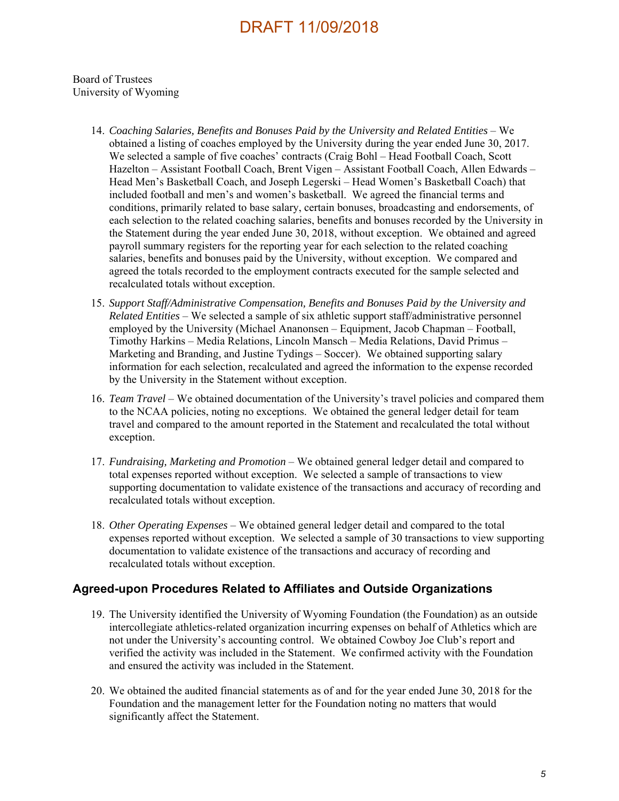Board of Trustees University of Wyoming

- 14. *Coaching Salaries, Benefits and Bonuses Paid by the University and Related Entities* We obtained a listing of coaches employed by the University during the year ended June 30, 2017. We selected a sample of five coaches' contracts (Craig Bohl – Head Football Coach, Scott Hazelton – Assistant Football Coach, Brent Vigen – Assistant Football Coach, Allen Edwards – Head Men's Basketball Coach, and Joseph Legerski – Head Women's Basketball Coach) that included football and men's and women's basketball. We agreed the financial terms and conditions, primarily related to base salary, certain bonuses, broadcasting and endorsements, of each selection to the related coaching salaries, benefits and bonuses recorded by the University in the Statement during the year ended June 30, 2018, without exception. We obtained and agreed payroll summary registers for the reporting year for each selection to the related coaching salaries, benefits and bonuses paid by the University, without exception. We compared and agreed the totals recorded to the employment contracts executed for the sample selected and recalculated totals without exception.
- 15. *Support Staff/Administrative Compensation, Benefits and Bonuses Paid by the University and Related Entities* – We selected a sample of six athletic support staff/administrative personnel employed by the University (Michael Ananonsen – Equipment, Jacob Chapman – Football, Timothy Harkins – Media Relations, Lincoln Mansch – Media Relations, David Primus – Marketing and Branding, and Justine Tydings – Soccer). We obtained supporting salary information for each selection, recalculated and agreed the information to the expense recorded by the University in the Statement without exception.
- 16. *Team Travel*  We obtained documentation of the University's travel policies and compared them to the NCAA policies, noting no exceptions. We obtained the general ledger detail for team travel and compared to the amount reported in the Statement and recalculated the total without exception.
- 17. *Fundraising, Marketing and Promotion* We obtained general ledger detail and compared to total expenses reported without exception. We selected a sample of transactions to view supporting documentation to validate existence of the transactions and accuracy of recording and recalculated totals without exception.
- 18. *Other Operating Expenses*  We obtained general ledger detail and compared to the total expenses reported without exception. We selected a sample of 30 transactions to view supporting documentation to validate existence of the transactions and accuracy of recording and recalculated totals without exception.

### **Agreed-upon Procedures Related to Affiliates and Outside Organizations**

- 19. The University identified the University of Wyoming Foundation (the Foundation) as an outside intercollegiate athletics-related organization incurring expenses on behalf of Athletics which are not under the University's accounting control. We obtained Cowboy Joe Club's report and verified the activity was included in the Statement. We confirmed activity with the Foundation and ensured the activity was included in the Statement.
- 20. We obtained the audited financial statements as of and for the year ended June 30, 2018 for the Foundation and the management letter for the Foundation noting no matters that would significantly affect the Statement.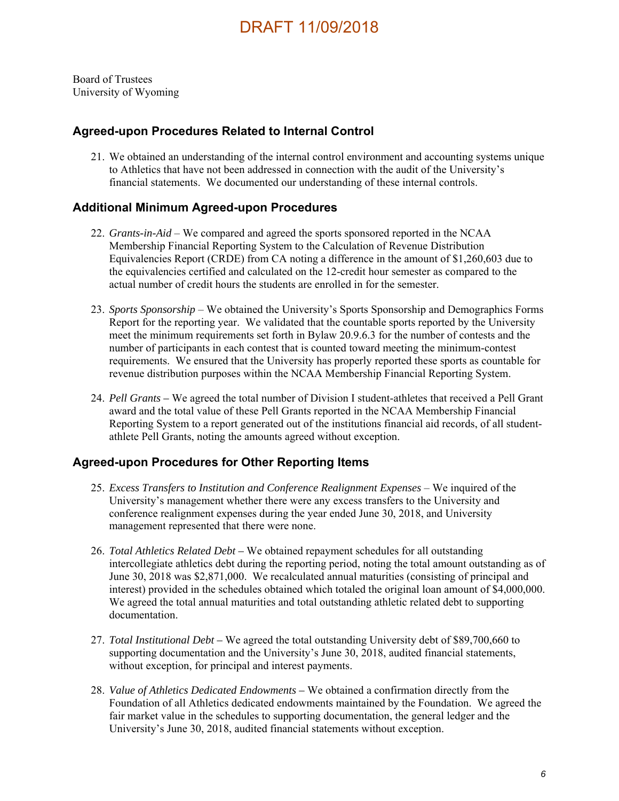Board of Trustees University of Wyoming

#### **Agreed-upon Procedures Related to Internal Control**

21. We obtained an understanding of the internal control environment and accounting systems unique to Athletics that have not been addressed in connection with the audit of the University's financial statements. We documented our understanding of these internal controls.

#### **Additional Minimum Agreed-upon Procedures**

- 22. *Grants-in-Aid* We compared and agreed the sports sponsored reported in the NCAA Membership Financial Reporting System to the Calculation of Revenue Distribution Equivalencies Report (CRDE) from CA noting a difference in the amount of \$1,260,603 due to the equivalencies certified and calculated on the 12-credit hour semester as compared to the actual number of credit hours the students are enrolled in for the semester.
- 23. *Sports Sponsorship*  We obtained the University's Sports Sponsorship and Demographics Forms Report for the reporting year. We validated that the countable sports reported by the University meet the minimum requirements set forth in Bylaw 20.9.6.3 for the number of contests and the number of participants in each contest that is counted toward meeting the minimum-contest requirements. We ensured that the University has properly reported these sports as countable for revenue distribution purposes within the NCAA Membership Financial Reporting System.
- 24. *Pell Grants* We agreed the total number of Division I student-athletes that received a Pell Grant award and the total value of these Pell Grants reported in the NCAA Membership Financial Reporting System to a report generated out of the institutions financial aid records, of all studentathlete Pell Grants, noting the amounts agreed without exception.

### **Agreed-upon Procedures for Other Reporting Items**

- 25. *Excess Transfers to Institution and Conference Realignment Expenses* We inquired of the University's management whether there were any excess transfers to the University and conference realignment expenses during the year ended June 30, 2018, and University management represented that there were none.
- 26. *Total Athletics Related Debt* We obtained repayment schedules for all outstanding intercollegiate athletics debt during the reporting period, noting the total amount outstanding as of June 30, 2018 was \$2,871,000. We recalculated annual maturities (consisting of principal and interest) provided in the schedules obtained which totaled the original loan amount of \$4,000,000. We agreed the total annual maturities and total outstanding athletic related debt to supporting documentation.
- 27. *Total Institutional Debt* We agreed the total outstanding University debt of \$89,700,660 to supporting documentation and the University's June 30, 2018, audited financial statements, without exception, for principal and interest payments.
- 28. *Value of Athletics Dedicated Endowments* We obtained a confirmation directly from the Foundation of all Athletics dedicated endowments maintained by the Foundation. We agreed the fair market value in the schedules to supporting documentation, the general ledger and the University's June 30, 2018, audited financial statements without exception.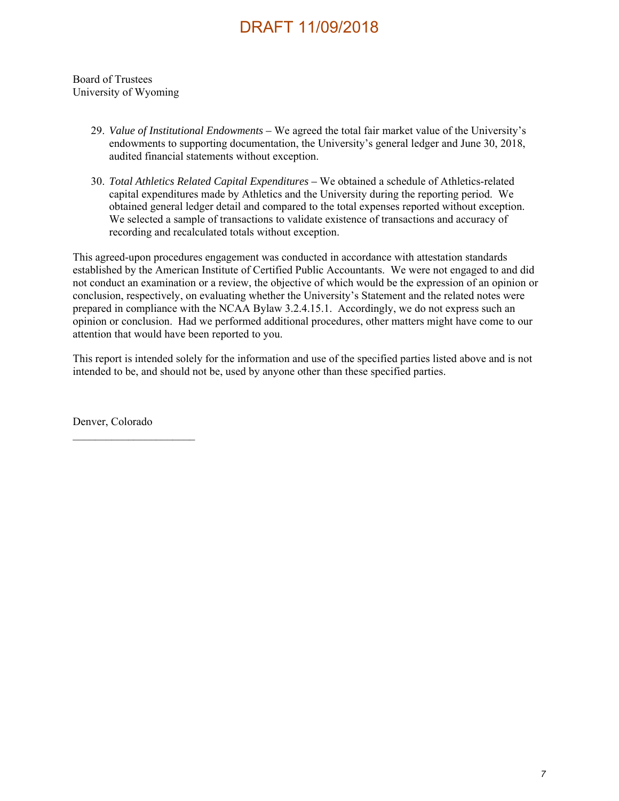Board of Trustees University of Wyoming

- 29. *Value of Institutional Endowments* We agreed the total fair market value of the University's endowments to supporting documentation, the University's general ledger and June 30, 2018, audited financial statements without exception.
- 30. *Total Athletics Related Capital Expenditures* We obtained a schedule of Athletics-related capital expenditures made by Athletics and the University during the reporting period. We obtained general ledger detail and compared to the total expenses reported without exception. We selected a sample of transactions to validate existence of transactions and accuracy of recording and recalculated totals without exception.

This agreed-upon procedures engagement was conducted in accordance with attestation standards established by the American Institute of Certified Public Accountants. We were not engaged to and did not conduct an examination or a review, the objective of which would be the expression of an opinion or conclusion, respectively, on evaluating whether the University's Statement and the related notes were prepared in compliance with the NCAA Bylaw 3.2.4.15.1. Accordingly, we do not express such an opinion or conclusion. Had we performed additional procedures, other matters might have come to our attention that would have been reported to you.

This report is intended solely for the information and use of the specified parties listed above and is not intended to be, and should not be, used by anyone other than these specified parties.

Denver, Colorado

 $\mathcal{L}_\text{max}$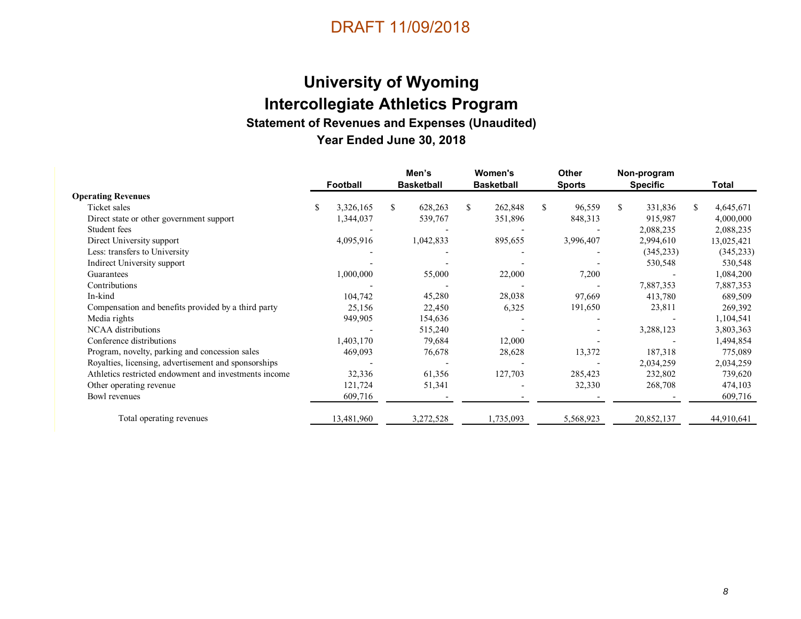# **University of Wyoming Intercollegiate Athletics Program Statement of Revenues and Expenses (Unaudited) Year Ended June 30, 2018**

|                                                       |    | <b>Football</b> |     | Men's<br><b>Basketball</b> | Women's<br><b>Basketball</b> | Other<br><b>Sports</b> |    | Non-program<br><b>Specific</b> |     | Total      |
|-------------------------------------------------------|----|-----------------|-----|----------------------------|------------------------------|------------------------|----|--------------------------------|-----|------------|
| <b>Operating Revenues</b>                             |    |                 |     |                            |                              |                        |    |                                |     |            |
| Ticket sales                                          | S. | 3,326,165       | \$. | 628,263                    | \$<br>262,848                | \$<br>96,559           | S. | 331,836                        | \$. | 4,645,671  |
| Direct state or other government support              |    | 1,344,037       |     | 539,767                    | 351,896                      | 848,313                |    | 915,987                        |     | 4,000,000  |
| Student fees                                          |    |                 |     |                            |                              |                        |    | 2,088,235                      |     | 2,088,235  |
| Direct University support                             |    | 4,095,916       |     | 1,042,833                  | 895,655                      | 3,996,407              |    | 2,994,610                      |     | 13,025,421 |
| Less: transfers to University                         |    |                 |     |                            |                              |                        |    | (345, 233)                     |     | (345, 233) |
| Indirect University support                           |    |                 |     |                            |                              |                        |    | 530,548                        |     | 530,548    |
| Guarantees                                            |    | 1,000,000       |     | 55,000                     | 22,000                       | 7,200                  |    |                                |     | 1,084,200  |
| Contributions                                         |    |                 |     |                            |                              |                        |    | 7,887,353                      |     | 7,887,353  |
| In-kind                                               |    | 104,742         |     | 45,280                     | 28,038                       | 97,669                 |    | 413,780                        |     | 689,509    |
| Compensation and benefits provided by a third party   |    | 25,156          |     | 22,450                     | 6,325                        | 191,650                |    | 23,811                         |     | 269,392    |
| Media rights                                          |    | 949,905         |     | 154,636                    |                              |                        |    |                                |     | 1,104,541  |
| <b>NCAA</b> distributions                             |    |                 |     | 515,240                    |                              |                        |    | 3,288,123                      |     | 3,803,363  |
| Conference distributions                              |    | 1,403,170       |     | 79,684                     | 12,000                       |                        |    |                                |     | 1,494,854  |
| Program, novelty, parking and concession sales        |    | 469,093         |     | 76,678                     | 28,628                       | 13,372                 |    | 187,318                        |     | 775,089    |
| Royalties, licensing, advertisement and sponsorships  |    |                 |     |                            |                              |                        |    | 2,034,259                      |     | 2,034,259  |
| Athletics restricted endowment and investments income |    | 32,336          |     | 61,356                     | 127,703                      | 285,423                |    | 232,802                        |     | 739,620    |
| Other operating revenue                               |    | 121,724         |     | 51,341                     |                              | 32,330                 |    | 268,708                        |     | 474,103    |
| Bowl revenues                                         |    | 609,716         |     |                            |                              |                        |    |                                |     | 609,716    |
| Total operating revenues                              |    | 13,481,960      |     | 3,272,528                  | 1,735,093                    | 5,568,923              |    | 20,852,137                     |     | 44,910,641 |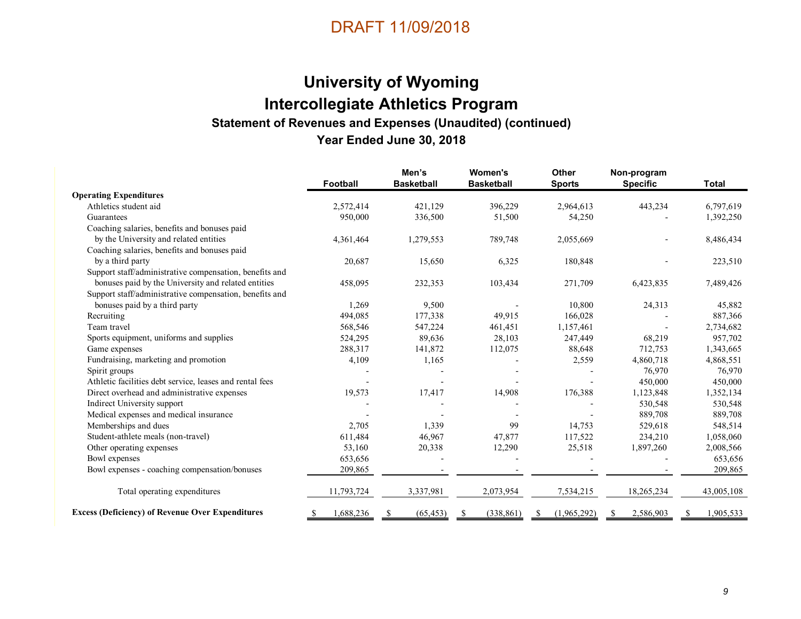

# **University of Wyoming Intercollegiate Athletics Program Statement of Revenues and Expenses (Unaudited) (continued) Year Ended June 30, 2018**

|                                                          | Football                   | Men's<br><b>Basketball</b> | Women's<br><b>Basketball</b> | Other<br><b>Sports</b> | Non-program<br><b>Specific</b> | <b>Total</b>               |
|----------------------------------------------------------|----------------------------|----------------------------|------------------------------|------------------------|--------------------------------|----------------------------|
| <b>Operating Expenditures</b>                            |                            |                            |                              |                        |                                |                            |
| Athletics student aid                                    | 2,572,414                  | 421,129                    | 396,229                      | 2,964,613              | 443,234                        | 6,797,619                  |
| Guarantees                                               | 950,000                    | 336,500                    | 51,500                       | 54,250                 |                                | 1,392,250                  |
| Coaching salaries, benefits and bonuses paid             |                            |                            |                              |                        |                                |                            |
| by the University and related entities                   | 4,361,464                  | 1,279,553                  | 789,748                      | 2,055,669              |                                | 8,486,434                  |
| Coaching salaries, benefits and bonuses paid             |                            |                            |                              |                        |                                |                            |
| by a third party                                         | 20,687                     | 15,650                     | 6,325                        | 180,848                |                                | 223,510                    |
| Support staff/administrative compensation, benefits and  |                            |                            |                              |                        |                                |                            |
| bonuses paid by the University and related entities      | 458,095                    | 232,353                    | 103,434                      | 271,709                | 6,423,835                      | 7,489,426                  |
| Support staff/administrative compensation, benefits and  |                            |                            |                              |                        |                                |                            |
| bonuses paid by a third party                            | 1,269                      | 9,500                      |                              | 10,800                 | 24,313                         | 45,882                     |
| Recruiting                                               | 494,085                    | 177,338                    | 49,915                       | 166,028                |                                | 887,366                    |
| Team travel                                              | 568,546                    | 547,224                    | 461,451                      | 1,157,461              |                                | 2,734,682                  |
| Sports equipment, uniforms and supplies                  | 524,295                    | 89,636                     | 28,103                       | 247,449                | 68,219                         | 957,702                    |
| Game expenses                                            | 288,317                    | 141,872                    | 112,075                      | 88,648                 | 712,753                        | 1,343,665                  |
| Fundraising, marketing and promotion                     | 4,109                      | 1,165                      |                              | 2,559                  | 4,860,718                      | 4,868,551                  |
| Spirit groups                                            |                            |                            |                              |                        | 76,970                         | 76,970                     |
| Athletic facilities debt service, leases and rental fees |                            |                            |                              |                        | 450,000                        | 450,000                    |
| Direct overhead and administrative expenses              | 19,573                     | 17,417                     | 14,908                       | 176,388                | 1,123,848                      | 1,352,134                  |
| Indirect University support                              |                            |                            |                              |                        | 530,548                        | 530,548                    |
| Medical expenses and medical insurance                   |                            |                            |                              |                        | 889,708                        | 889,708                    |
| Memberships and dues                                     | 2,705                      | 1,339                      | 99                           | 14,753                 | 529,618                        | 548,514                    |
| Student-athlete meals (non-travel)                       | 611,484                    | 46,967                     | 47,877                       | 117,522                | 234,210                        | 1,058,060                  |
| Other operating expenses                                 | 53,160                     | 20,338                     | 12,290                       | 25,518                 | 1,897,260                      | 2,008,566                  |
| Bowl expenses                                            | 653,656                    |                            |                              |                        |                                | 653,656                    |
| Bowl expenses - coaching compensation/bonuses            | 209,865                    |                            |                              |                        |                                | 209,865                    |
| Total operating expenditures                             | 11,793,724                 | 3,337,981                  | 2,073,954                    | 7,534,215              | 18,265,234                     | 43,005,108                 |
| <b>Excess (Deficiency) of Revenue Over Expenditures</b>  | 1,688,236<br><sup>\$</sup> | (65, 453)<br>-S            | (338, 861)<br>-S             | (1,965,292)<br>-S      | 2,586,903                      | 1,905,533<br><sup>\$</sup> |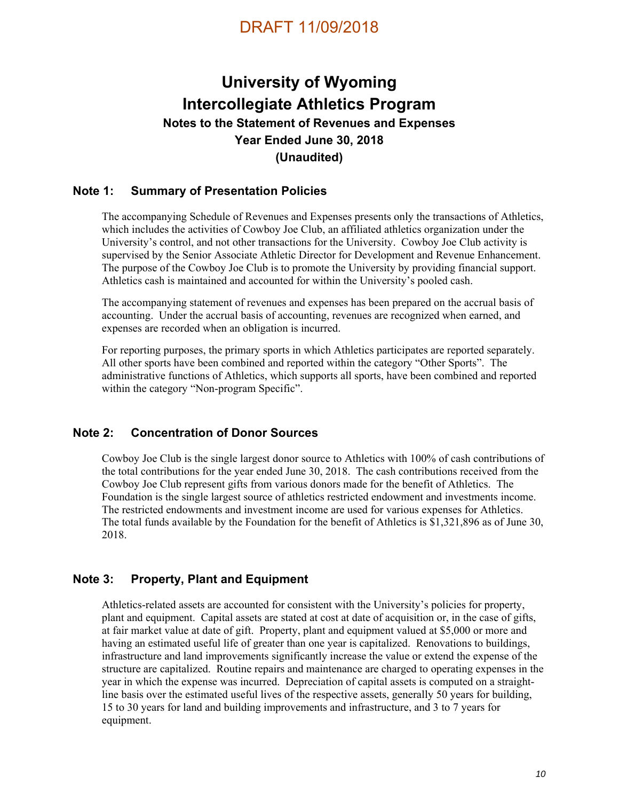## **University of Wyoming Intercollegiate Athletics Program Notes to the Statement of Revenues and Expenses Year Ended June 30, 2018 (Unaudited)**

### **Note 1: Summary of Presentation Policies**

The accompanying Schedule of Revenues and Expenses presents only the transactions of Athletics, which includes the activities of Cowboy Joe Club, an affiliated athletics organization under the University's control, and not other transactions for the University. Cowboy Joe Club activity is supervised by the Senior Associate Athletic Director for Development and Revenue Enhancement. The purpose of the Cowboy Joe Club is to promote the University by providing financial support. Athletics cash is maintained and accounted for within the University's pooled cash.

The accompanying statement of revenues and expenses has been prepared on the accrual basis of accounting. Under the accrual basis of accounting, revenues are recognized when earned, and expenses are recorded when an obligation is incurred.

For reporting purposes, the primary sports in which Athletics participates are reported separately. All other sports have been combined and reported within the category "Other Sports". The administrative functions of Athletics, which supports all sports, have been combined and reported within the category "Non-program Specific".

### **Note 2: Concentration of Donor Sources**

Cowboy Joe Club is the single largest donor source to Athletics with 100% of cash contributions of the total contributions for the year ended June 30, 2018. The cash contributions received from the Cowboy Joe Club represent gifts from various donors made for the benefit of Athletics. The Foundation is the single largest source of athletics restricted endowment and investments income. The restricted endowments and investment income are used for various expenses for Athletics. The total funds available by the Foundation for the benefit of Athletics is \$1,321,896 as of June 30, 2018.

### **Note 3: Property, Plant and Equipment**

Athletics-related assets are accounted for consistent with the University's policies for property, plant and equipment. Capital assets are stated at cost at date of acquisition or, in the case of gifts, at fair market value at date of gift. Property, plant and equipment valued at \$5,000 or more and having an estimated useful life of greater than one year is capitalized. Renovations to buildings, infrastructure and land improvements significantly increase the value or extend the expense of the structure are capitalized. Routine repairs and maintenance are charged to operating expenses in the year in which the expense was incurred. Depreciation of capital assets is computed on a straightline basis over the estimated useful lives of the respective assets, generally 50 years for building, 15 to 30 years for land and building improvements and infrastructure, and 3 to 7 years for equipment.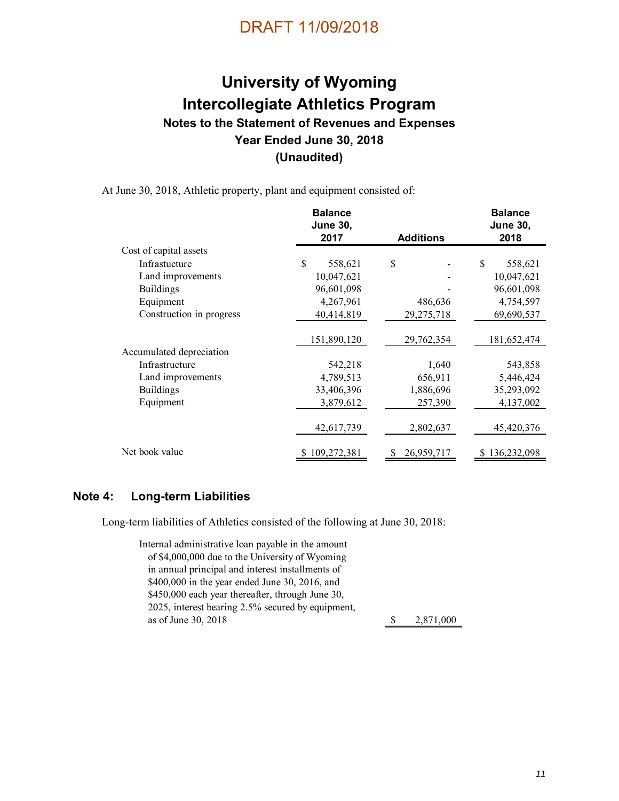## **University of Wyoming Intercollegiate Athletics Program Notes to the Statement of Revenues and Expenses Year Ended June 30, 2018 (Unaudited)**

At June 30, 2018, Athletic property, plant and equipment consisted of:

|                          | <b>Balance</b><br><b>June 30,</b><br>2017 | <b>Additions</b> | <b>Balance</b><br><b>June 30,</b><br>2018 |
|--------------------------|-------------------------------------------|------------------|-------------------------------------------|
| Cost of capital assets   |                                           |                  |                                           |
| Infrastucture            | \$<br>558,621                             | \$               | \$<br>558,621                             |
| Land improvements        | 10,047,621                                |                  | 10,047,621                                |
| <b>Buildings</b>         | 96,601,098                                |                  | 96,601,098                                |
| Equipment                | 4,267,961                                 | 486,636          | 4,754,597                                 |
| Construction in progress | 40,414,819                                | 29,275,718       | 69,690,537                                |
|                          | 151,890,120                               | 29,762,354       | 181,652,474                               |
| Accumulated depreciation |                                           |                  |                                           |
| Infrastructure           | 542,218                                   | 1,640            | 543,858                                   |
| Land improvements        | 4,789,513                                 | 656,911          | 5,446,424                                 |
| <b>Buildings</b>         | 33,406,396                                | 1,886,696        | 35,293,092                                |
| Equipment                | 3,879,612                                 | 257,390          | 4,137,002                                 |
|                          | 42,617,739                                | 2,802,637        | 45,420,376                                |
| Net book value           | 109,272,381                               | 26,959,717       | 136,232,098                               |

#### **Note 4: Long-term Liabilities**

Long-term liabilities of Athletics consisted of the following at June 30, 2018:

Internal administrative loan payable in the amount of \$4,000,000 due to the University of Wyoming in annual principal and interest installments of \$400,000 in the year ended June 30, 2016, and \$450,000 each year thereafter, through June 30, 2025, interest bearing 2.5% secured by equipment, as of June 30, 2018 2,871,000